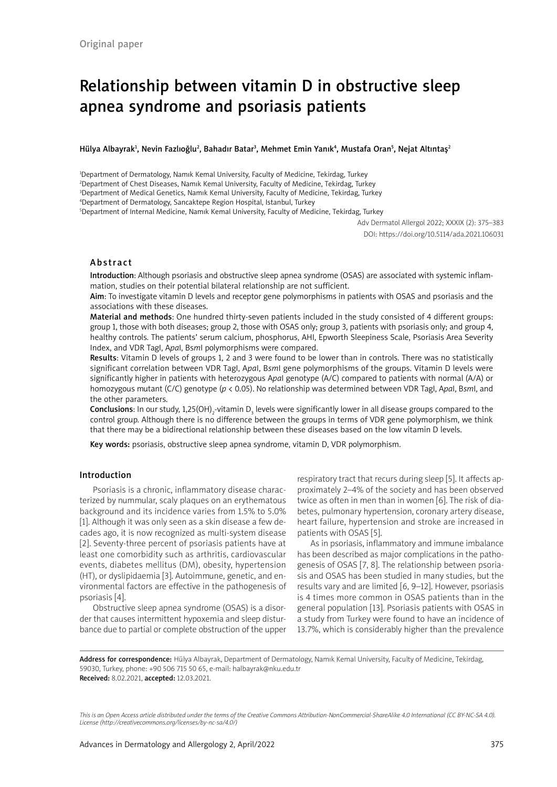# Relationship between vitamin D in obstructive sleep apnea syndrome and psoriasis patients

Hülya Albayrak<sup>ı</sup>, Nevin Fazlıoğlu<sup>2</sup>, Bahadır Batar<sup>3</sup>, Mehmet Emin Yanık<sup>4</sup>, Mustafa Oran<sup>5</sup>, Nejat Altıntaş<sup>2</sup>

 Department of Dermatology, Namık Kemal University, Faculty of Medicine, Tekirdag, Turkey Department of Chest Diseases, Namık Kemal University, Faculty of Medicine, Tekirdag, Turkey Department of Medical Genetics, Namık Kemal University, Faculty of Medicine, Tekirdag, Turkey Department of Dermatology, Sancaktepe Region Hospital, Istanbul, Turkey

5 Department of Internal Medicine, Namık Kemal University, Faculty of Medicine, Tekirdag, Turkey

Adv Dermatol Allergol 2022; XXXIX (2): 375–383 DOI: https://doi.org/10.5114/ada.2021.106031

# Abstract

Introduction: Although psoriasis and obstructive sleep apnea syndrome (OSAS) are associated with systemic inflammation, studies on their potential bilateral relationship are not sufficient.

Aim: To investigate vitamin D levels and receptor gene polymorphisms in patients with OSAS and psoriasis and the associations with these diseases.

Material and methods: One hundred thirty-seven patients included in the study consisted of 4 different groups: group 1, those with both diseases; group 2, those with OSAS only; group 3, patients with psoriasis only; and group 4, healthy controls. The patients' serum calcium, phosphorus, AHI, Epworth Sleepiness Scale, Psoriasis Area Severity Index, and VDR TagI, A*pa*I, Bs*m*I polymorphisms were compared.

Results: Vitamin D levels of groups 1, 2 and 3 were found to be lower than in controls. There was no statistically significant correlation between VDR TagI, A*pa*I, B*sm*I gene polymorphisms of the groups. Vitamin D levels were significantly higher in patients with heterozygous A*pa*I genotype (A/C) compared to patients with normal (A/A) or homozygous mutant (C/C) genotype (*p* < 0.05). No relationship was determined between VDR TagI, A*pa*I, B*sm*I, and the other parameters.

**Conclusions**: In our study, 1,25(OH)<sub>2</sub>-vitamin D<sub>3</sub> levels were significantly lower in all disease groups compared to the control group. Although there is no difference between the groups in terms of VDR gene polymorphism, we think that there may be a bidirectional relationship between these diseases based on the low vitamin D levels.

Key words: psoriasis, obstructive sleep apnea syndrome, vitamin D, VDR polymorphism.

## Introduction

Psoriasis is a chronic, inflammatory disease characterized by nummular, scaly plaques on an erythematous background and its incidence varies from 1.5% to 5.0% [1]. Although it was only seen as a skin disease a few decades ago, it is now recognized as multi-system disease [2]. Seventy-three percent of psoriasis patients have at least one comorbidity such as arthritis, cardiovascular events, diabetes mellitus (DM), obesity, hypertension (HT), or dyslipidaemia [3]. Autoimmune, genetic, and environmental factors are effective in the pathogenesis of psoriasis [4].

Obstructive sleep apnea syndrome (OSAS) is a disorder that causes intermittent hypoxemia and sleep disturbance due to partial or complete obstruction of the upper respiratory tract that recurs during sleep [5]. It affects approximately 2–4% of the society and has been observed twice as often in men than in women [6]. The risk of diabetes, pulmonary hypertension, coronary artery disease, heart failure, hypertension and stroke are increased in patients with OSAS [5].

As in psoriasis, inflammatory and immune imbalance has been described as major complications in the pathogenesis of OSAS [7, 8]. The relationship between psoriasis and OSAS has been studied in many studies, but the results vary and are limited [6, 9–12]. However, psoriasis is 4 times more common in OSAS patients than in the general population [13]. Psoriasis patients with OSAS in a study from Turkey were found to have an incidence of 13.7%, which is considerably higher than the prevalence

Address for correspondence: Hülya Albayrak, Department of Dermatology, Namık Kemal University, Faculty of Medicine, Tekirdag, 59030, Turkey, phone: +90 506 715 50 65, e-mail: halbayrak@nku.edu.tr Received: 8.02.2021, accepted: 12.03.2021.

*This is an Open Access article distributed under the terms of the Creative Commons Attribution-NonCommercial-ShareAlike 4.0 International (CC BY-NC-SA 4.0). License (http://creativecommons.org/licenses/by-nc-sa/4.0/)*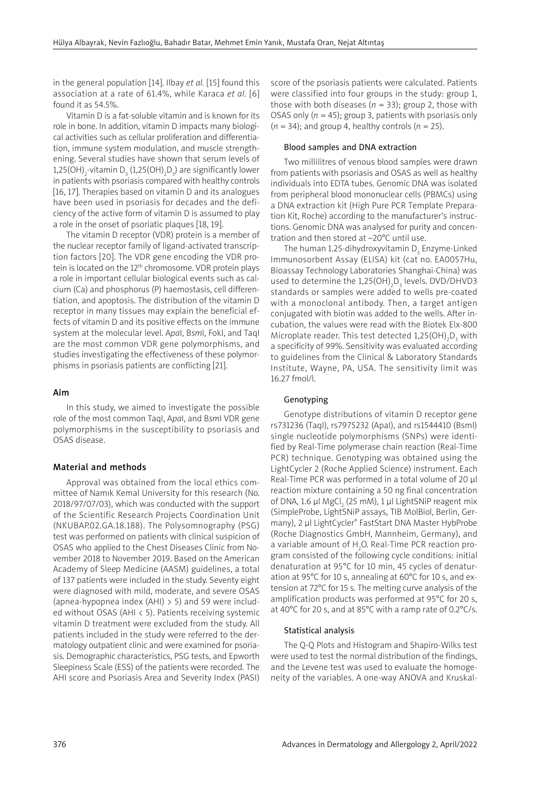in the general population [14]. Ilbay *et al.* [15] found this association at a rate of 61.4%, while Karaca *et al.* [6] found it as 54.5%.

Vitamin D is a fat-soluble vitamin and is known for its role in bone. In addition, vitamin D impacts many biological activities such as cellular proliferation and differentiation, immune system modulation, and muscle strengthening. Several studies have shown that serum levels of 1,25(OH) $_2$ -vitamin D $_3$  (1,25(OH) $_2$ D $_3$ ) are significantly lower in patients with psoriasis compared with healthy controls [16, 17]. Therapies based on vitamin D and its analogues have been used in psoriasis for decades and the deficiency of the active form of vitamin D is assumed to play a role in the onset of psoriatic plaques [18, 19].

The vitamin D receptor (VDR) protein is a member of the nuclear receptor family of ligand-activated transcription factors [20]. The VDR gene encoding the VDR protein is located on the 12<sup>th</sup> chromosome. VDR protein plays a role in important cellular biological events such as calcium (Ca) and phosphorus (P) haemostasis, cell differentiation, and apoptosis. The distribution of the vitamin D receptor in many tissues may explain the beneficial effects of vitamin D and its positive effects on the immune system at the molecular level. A*pa*I, B*sm*I, FokI, and TaqI are the most common VDR gene polymorphisms, and studies investigating the effectiveness of these polymorphisms in psoriasis patients are conflicting [21].

## Aim

In this study, we aimed to investigate the possible role of the most common TaqI, A*pa*I, and B*sm*I VDR gene polymorphisms in the susceptibility to psoriasis and OSAS disease.

#### Material and methods

Approval was obtained from the local ethics committee of Namık Kemal University for this research (No. 2018/97/07/03), which was conducted with the support of the Scientific Research Projects Coordination Unit (NKUBAP.02.GA.18.188). The Polysomnography (PSG) test was performed on patients with clinical suspicion of OSAS who applied to the Chest Diseases Clinic from November 2018 to November 2019. Based on the American Academy of Sleep Medicine (AASM) guidelines, a total of 137 patients were included in the study. Seventy eight were diagnosed with mild, moderate, and severe OSAS (apnea-hypopnea index (AHI) > 5) and 59 were included without OSAS (AHI < 5). Patients receiving systemic vitamin D treatment were excluded from the study. All patients included in the study were referred to the dermatology outpatient clinic and were examined for psoriasis. Demographic characteristics, PSG tests, and Epworth Sleepiness Scale (ESS) of the patients were recorded. The AHI score and Psoriasis Area and Severity Index (PASI)

score of the psoriasis patients were calculated. Patients were classified into four groups in the study: group 1, those with both diseases (*n* = 33); group 2, those with OSAS only  $(n = 45)$ ; group 3, patients with psoriasis only  $(n = 34)$ ; and group 4, healthy controls  $(n = 25)$ .

#### Blood samples and DNA extraction

Two millilitres of venous blood samples were drawn from patients with psoriasis and OSAS as well as healthy individuals into EDTA tubes. Genomic DNA was isolated from peripheral blood mononuclear cells (PBMCs) using a DNA extraction kit (High Pure PCR Template Preparation Kit, Roche) according to the manufacturer's instructions. Genomic DNA was analysed for purity and concentration and then stored at –20°C until use.

The human 1.25-dihydroxyvitamin D $_{_3}$  Enzyme-Linked Immunosorbent Assay (ELISA) kit (cat no. EA0057Hu, Bioassay Technology Laboratories Shanghai-China) was used to determine the  $1,25(OH){}_2D_{3}$  levels. DVD/DHVD3 standards or samples were added to wells pre-coated with a monoclonal antibody. Then, a target antigen conjugated with biotin was added to the wells. After incubation, the values were read with the Biotek Elx-800 Microplate reader. This test detected 1,25(OH) $_{2}$ D $_{3}$  with a specificity of 99%. Sensitivity was evaluated according to guidelines from the Clinical & Laboratory Standards Institute, Wayne, PA, USA. The sensitivity limit was 16.27 fmol/l.

#### Genotyping

Genotype distributions of vitamin D receptor gene rs731236 (TaqI), rs7975232 (ApaI), and rs1544410 (BsmI) single nucleotide polymorphisms (SNPs) were identified by Real-Time polymerase chain reaction (Real-Time PCR) technique. Genotyping was obtained using the LightCycler 2 (Roche Applied Science) instrument. Each Real-Time PCR was performed in a total volume of 20 μl reaction mixture containing a 50 ng final concentration of DNA, 1.6 μl MgCl<sub>2</sub> (25 mM), 1 μl LightSNiP reagent mix (SimpleProbe, LightSNiP assays, TIB MolBiol, Berlin, Germany), 2 μl LightCycler® FastStart DNA Master HybProbe (Roche Diagnostics GmbH, Mannheim, Germany), and a variable amount of  $\mathsf{H}_2\mathsf{O}.$  Real-Time PCR reaction program consisted of the following cycle conditions: initial denaturation at 95°C for 10 min, 45 cycles of denaturation at 95°C for 10 s, annealing at 60°C for 10 s, and extension at 72°C for 15 s. The melting curve analysis of the amplification products was performed at 95°C for 20 s, at 40°C for 20 s, and at 85°C with a ramp rate of 0.2°C/s.

#### Statistical analysis

The Q-Q Plots and Histogram and Shapiro-Wilks test were used to test the normal distribution of the findings, and the Levene test was used to evaluate the homogeneity of the variables. A one-way ANOVA and Kruskal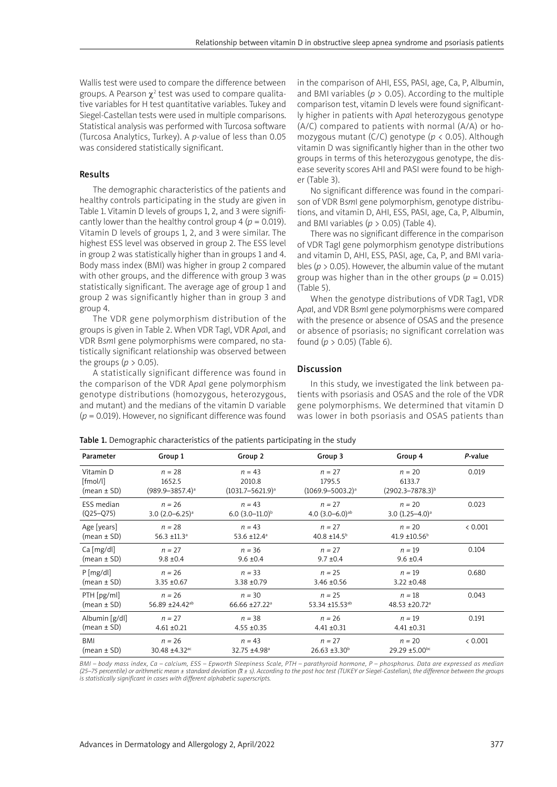Wallis test were used to compare the difference between groups. A Pearson  $\chi^2$  test was used to compare qualitative variables for H test quantitative variables. Tukey and Siegel-Castellan tests were used in multiple comparisons. Statistical analysis was performed with Turcosa software (Turcosa Analytics, Turkey). A *p*-value of less than 0.05 was considered statistically significant.

## Results

The demographic characteristics of the patients and healthy controls participating in the study are given in Table 1. Vitamin D levels of groups 1, 2, and 3 were significantly lower than the healthy control group  $4 (p = 0.019)$ . Vitamin D levels of groups 1, 2, and 3 were similar. The highest ESS level was observed in group 2. The ESS level in group 2 was statistically higher than in groups 1 and 4. Body mass index (BMI) was higher in group 2 compared with other groups, and the difference with group 3 was statistically significant. The average age of group 1 and group 2 was significantly higher than in group 3 and group 4.

The VDR gene polymorphism distribution of the groups is given in Table 2. When VDR TagI, VDR A*pa*I, and VDR B*sm*I gene polymorphisms were compared, no statistically significant relationship was observed between the groups ( $p > 0.05$ ).

A statistically significant difference was found in the comparison of the VDR A*pa*I gene polymorphism genotype distributions (homozygous, heterozygous, and mutant) and the medians of the vitamin D variable (*p* = 0.019). However, no significant difference was found in the comparison of AHI, ESS, PASI, age, Ca, P, Albumin, and BMI variables ( $p > 0.05$ ). According to the multiple comparison test, vitamin D levels were found significantly higher in patients with A*pa*I heterozygous genotype (A/C) compared to patients with normal (A/A) or homozygous mutant (C/C) genotype (*p* < 0.05). Although vitamin D was significantly higher than in the other two groups in terms of this heterozygous genotype, the disease severity scores AHI and PASI were found to be higher (Table 3).

No significant difference was found in the comparison of VDR B*sm*I gene polymorphism, genotype distributions, and vitamin D, AHI, ESS, PASI, age, Ca, P, Albumin, and BMI variables (*p* > 0.05) (Table 4).

There was no significant difference in the comparison of VDR TagI gene polymorphism genotype distributions and vitamin D, AHI, ESS, PASI, age, Ca, P, and BMI variables (*p* > 0.05). However, the albumin value of the mutant group was higher than in the other groups ( $p = 0.015$ ) (Table 5).

When the genotype distributions of VDR Tag1, VDR A*pa*I, and VDR B*sm*I gene polymorphisms were compared with the presence or absence of OSAS and the presence or absence of psoriasis; no significant correlation was found (*p* > 0.05) (Table 6).

### Discussion

In this study, we investigated the link between patients with psoriasis and OSAS and the role of the VDR gene polymorphisms. We determined that vitamin D was lower in both psoriasis and OSAS patients than

Table 1. Demographic characteristics of the patients participating in the study

| Parameter         | Group 1                    | Group 2                   | Group 3                       | Group 4                   | P-value |
|-------------------|----------------------------|---------------------------|-------------------------------|---------------------------|---------|
| Vitamin D         | $n = 28$                   | $n = 43$                  | $n = 27$                      | $n = 20$                  | 0.019   |
| [fmol/l]          | 1652.5                     | 2010.8                    | 1795.5                        | 6133.7                    |         |
| $(mean \pm SD)$   | $(989.9 - 3857.4)^a$       | $(1031.7 - 5621.9)^a$     | $(1069.9 - 5003.2)^a$         | $(2902.3 - 7878.3)^{b}$   |         |
| <b>ESS</b> median | $n = 26$                   | $n = 43$                  | $n = 27$                      | $n = 20$                  | 0.023   |
| $(Q25-Q75)$       | 3.0 $(2.0 - 6.25)^a$       | 6.0 $(3.0-11.0)^{b}$      | 4.0 $(3.0-6.0)$ <sup>ab</sup> | 3.0 $(1.25 - 4.0)^a$      |         |
| Age [years]       | $n = 28$                   | $n = 43$                  | $n = 27$                      | $n = 20$                  | < 0.001 |
| $(mean \pm SD)$   | 56.3 ±11.3 <sup>a</sup>    | 53.6 ±12.4 <sup>a</sup>   | 40.8 ±14.5 <sup>b</sup>       | 41.9 ±10.56 <sup>b</sup>  |         |
| Ca [mg/dl]        | $n = 27$                   | $n = 36$                  | $n = 27$                      | $n = 19$                  | 0.104   |
| $(mean \pm SD)$   | $9.8 \pm 0.4$              | $9.6 \pm 0.4$             | $9.7 \pm 0.4$                 | $9.6 \pm 0.4$             |         |
| $P$ [mg/dl]       | $n = 26$                   | $n = 33$                  | $n = 25$                      | $n = 19$                  | 0.680   |
| $(mean \pm SD)$   | $3.35 + 0.67$              | $3.38 + 0.79$             | $3.46 \pm 0.56$               | $3.22 \pm 0.48$           |         |
| PTH [pg/ml]       | $n = 26$                   | $n = 30$                  | $n = 25$                      | $n = 18$                  | 0.043   |
| $(mean \pm SD)$   | 56.89 ±24.42 <sup>ab</sup> | 66.66 ±27.22 <sup>a</sup> | 53.34 ±15.53 <sup>ab</sup>    | 48.53 ±20.72 <sup>a</sup> |         |
| Albumin [g/dl]    | $n = 27$                   | $n = 38$                  | $n = 26$                      | $n = 19$                  | 0.191   |
| $(mean \pm SD)$   | $4.61 \pm 0.21$            | $4.55 \pm 0.35$           | $4.41 \pm 0.31$               | $4.41 \pm 0.31$           |         |
| <b>BMI</b>        | $n = 26$                   | $n = 43$                  | $n = 27$                      | $n = 20$                  | < 0.001 |
| (mean ± SD)       | 30.48 ±4.32 <sup>ac</sup>  | 32.75 ±4.98 <sup>a</sup>  | $26.63 \pm 3.30^{\circ}$      | $29.29 \pm 5.00^{bc}$     |         |

*BMI – body mass index, Ca – calcium, ESS – Epworth Sleepiness Scale, PTH – parathyroid hormone, P – phosphorus. Data are expressed as median (25–75 percentile) or arithmetic mean ± standard deviation (x ± s). According to the post hoc test (TUKEY or Siegel-Castellan), the difference between the groups is statistically significant in cases with different alphabetic superscripts.*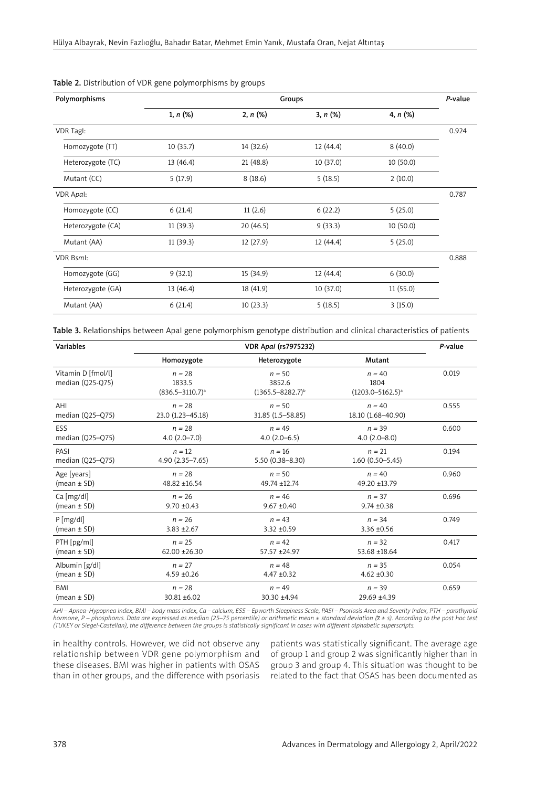| Polymorphisms     | Groups    |             |           |            |       |
|-------------------|-----------|-------------|-----------|------------|-------|
|                   | 1, n (%)  | $2, n (\%)$ | 3, n (%)  | 4, $n$ (%) |       |
| VDR Tagl:         |           |             |           |            | 0.924 |
| Homozygote (TT)   | 10(35.7)  | 14 (32.6)   | 12(44.4)  | 8(40.0)    |       |
| Heterozygote (TC) | 13 (46.4) | 21(48.8)    | 10 (37.0) | 10 (50.0)  |       |
| Mutant (CC)       | 5(17.9)   | 8(18.6)     | 5(18.5)   | 2(10.0)    |       |
| VDR Apal:         |           |             |           |            | 0.787 |
| Homozygote (CC)   | 6(21.4)   | 11(2.6)     | 6(22.2)   | 5(25.0)    |       |
| Heterozygote (CA) | 11(39.3)  | 20(46.5)    | 9(33.3)   | 10(50.0)   |       |
| Mutant (AA)       | 11(39.3)  | 12(27.9)    | 12 (44.4) | 5(25.0)    |       |
| <b>VDR Bsml:</b>  |           |             |           |            | 0.888 |
| Homozygote (GG)   | 9(32.1)   | 15 (34.9)   | 12 (44.4) | 6(30.0)    |       |
| Heterozygote (GA) | 13 (46.4) | 18 (41.9)   | 10 (37.0) | 11(55.0)   |       |
| Mutant (AA)       | 6(21.4)   | 10(23.3)    | 5(18.5)   | 3(15.0)    |       |

## Table 2. Distribution of VDR gene polymorphisms by groups

Table 3. Relationships between ApaI gene polymorphism genotype distribution and clinical characteristics of patients

| Variables                              |                                            | P-value                                       |                                             |       |
|----------------------------------------|--------------------------------------------|-----------------------------------------------|---------------------------------------------|-------|
|                                        | Homozygote                                 | Heterozygote                                  | Mutant                                      |       |
| Vitamin D [fmol/l]<br>median (Q25-Q75) | $n = 28$<br>1833.5<br>$(836.5 - 3110.7)^a$ | $n = 50$<br>3852.6<br>$(1365.5 - 8282.7)^{b}$ | $n = 40$<br>1804<br>$(1203.0 - 5162.5)^{a}$ | 0.019 |
| AHI                                    | $n = 28$                                   | $n = 50$                                      | $n = 40$                                    | 0.555 |
| median (Q25-Q75)                       | 23.0 (1.23-45.18)                          | 31.85 (1.5 - 58.85)                           | 18.10 (1.68-40.90)                          |       |
| ESS                                    | $n = 28$                                   | $n = 49$                                      | $n = 39$                                    | 0.600 |
| median (Q25-Q75)                       | $4.0(2.0 - 7.0)$                           | $4.0(2.0-6.5)$                                | $4.0(2.0 - 8.0)$                            |       |
| PASI                                   | $n = 12$                                   | $n = 16$                                      | $n = 21$                                    | 0.194 |
| median $(Q25-Q75)$                     | $4.90(2.35 - 7.65)$                        | $5.50(0.38 - 8.30)$                           | $1.60(0.50 - 5.45)$                         |       |
| Age [years]                            | $n = 28$                                   | $n = 50$                                      | $n = 40$                                    | 0.960 |
| $(mean \pm SD)$                        | 48.82 ±16.54                               | 49.74 ±12.74                                  | 49.20 ±13.79                                |       |
| Ca [mg/dl]                             | $n = 26$                                   | $n = 46$                                      | $n = 37$                                    | 0.696 |
| $(mean \pm SD)$                        | $9.70 \pm 0.43$                            | $9.67 \pm 0.40$                               | $9.74 \pm 0.38$                             |       |
| $P$ [mg/dl]                            | $n = 26$                                   | $n = 43$                                      | $n = 34$                                    | 0.749 |
| $(mean \pm SD)$                        | $3.83 \pm 2.67$                            | $3.32 \pm 0.59$                               | $3.36 \pm 0.56$                             |       |
| PTH [pg/ml]                            | $n = 25$                                   | $n = 42$                                      | $n = 32$                                    | 0.417 |
| $(mean \pm SD)$                        | $62.00 \pm 26.30$                          | 57.57 ±24.97                                  | 53.68 ±18.64                                |       |
| Albumin [g/dl]                         | $n = 27$                                   | $n = 48$                                      | $n = 35$                                    | 0.054 |
| $(mean \pm SD)$                        | $4.59 + 0.26$                              | $4.47 \pm 0.32$                               | $4.62 \pm 0.30$                             |       |
| BMI                                    | $n = 28$                                   | $n = 49$                                      | $n = 39$                                    | 0.659 |
| $(mean \pm SD)$                        | 30.81 ±6.02                                | 30.30 ±4.94                                   | 29.69 ±4.39                                 |       |

*AHI – Apnea–Hypopnea Index, BMI – body mass index, Ca – calcium, ESS – Epworth Sleepiness Scale, PASI – Psoriasis Area and Severity Index, PTH – parathyroid hormone, P – phosphorus. Data are expressed as median (25–75 percentile) or arithmetic mean ± standard deviation (x ± s). According to the post hoc test (TUKEY or Siegel-Castellan), the difference between the groups is statistically significant in cases with different alphabetic superscripts.*

in healthy controls. However, we did not observe any relationship between VDR gene polymorphism and these diseases. BMI was higher in patients with OSAS than in other groups, and the difference with psoriasis

patients was statistically significant. The average age of group 1 and group 2 was significantly higher than in group 3 and group 4. This situation was thought to be related to the fact that OSAS has been documented as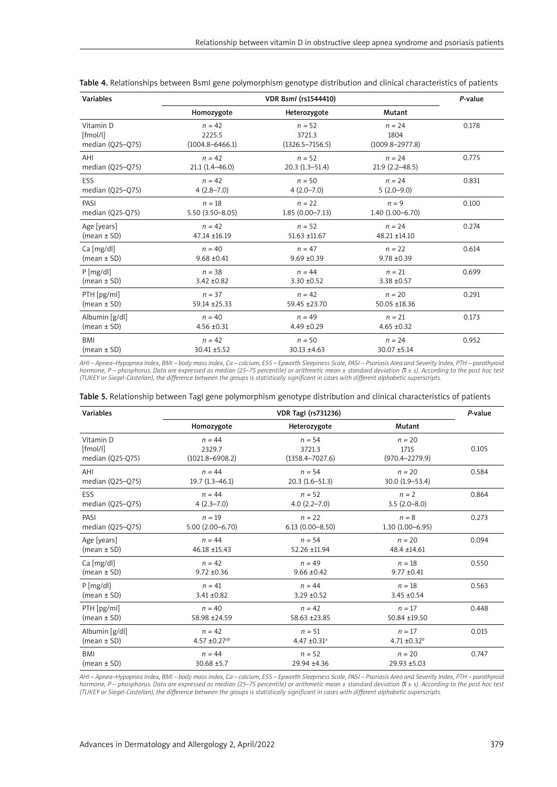| Variables          |                     | P-value             |                     |       |
|--------------------|---------------------|---------------------|---------------------|-------|
|                    | Homozygote          | Heterozygote        | Mutant              |       |
| Vitamin D          | $n = 42$            | $n = 52$            | $n = 24$            | 0.178 |
| [fmol/l]           | 2225.5              | 3721.3              | 1804                |       |
| median $(Q25-Q75)$ | $(1004.8 - 6466.1)$ | $(1326.5 - 7156.5)$ | $(1009.8 - 2977.8)$ |       |
| AHI                | $n = 42$            | $n = 52$            | $n = 24$            | 0.775 |
| median (Q25-Q75)   | $21.1(1.4 - 46.0)$  | $20.3(1.3-51.4)$    | $21.9(2.2 - 48.5)$  |       |
| ESS                | $n = 42$            | $n = 50$            | $n = 24$            | 0.831 |
| median (Q25-Q75)   | $4(2.8 - 7.0)$      | $4(2.0 - 7.0)$      | $5(2.0-9.0)$        |       |
| PASI               | $n = 18$            | $n = 22$            | $n = 9$             | 0.100 |
| median (Q25-Q75)   | $5.50(3.50 - 8.05)$ | $1.85(0.00 - 7.13)$ | $1.40(1.00 - 6.70)$ |       |
| Age [years]        | $n = 42$            | $n = 52$            | $n = 24$            | 0.274 |
| $(mean \pm SD)$    | 47.14 ±16.19        | $51.63 + 11.67$     | 48.21 ±14.10        |       |
| Ca [mg/dl]         | $n = 40$            | $n = 47$            | $n = 22$            | 0.614 |
| $(mean \pm SD)$    | $9.68 \pm 0.41$     | $9.69 \pm 0.39$     | $9.78 \pm 0.39$     |       |
| P[mg/dl]           | $n = 38$            | $n = 44$            | $n = 21$            | 0.699 |
| $(mean \pm SD)$    | $3.42 \pm 0.82$     | $3.30 \pm 0.52$     | 3.38 ±0.57          |       |
| PTH [pg/ml]        | $n = 37$            | $n = 42$            | $n = 20$            | 0.291 |
| $(mean \pm SD)$    | 59.14 ± 25.33       | 59.45 ±23.70        | 50.05 ±18.36        |       |
| Albumin [g/dl]     | $n = 40$            | $n = 49$            | $n = 21$            | 0.173 |
| $(mean \pm SD)$    | $4.56 \pm 0.31$     | $4.49 \pm 0.29$     | $4.65 \pm 0.32$     |       |
| <b>BMI</b>         | $n = 42$            | $n = 50$            | $n = 24$            | 0.952 |
| $(mean \pm SD)$    | 30.41 ±5.52         | $30.13 \pm 4.63$    | 30.07 ±5.14         |       |

Table 4. Relationships between BsmI gene polymorphism genotype distribution and clinical characteristics of patients

*AHI – Apnea–Hypopnea Index, BMI – body mass index, Ca – calcium, ESS – Epworth Sleepiness Scale, PASI – Psoriasis Area and Severity Index, PTH – parathyroid hormone, P – phosphorus. Data are expressed as median (25–75 percentile) or arithmetic mean ± standard deviation (x ± s). According to the post hoc test (TUKEY or Siegel-Castellan), the difference between the groups is statistically significant in cases with different alphabetic superscripts.*

| Variables        | <b>VDR Tagl (rs731236)</b>    |                              |                     |       |  |
|------------------|-------------------------------|------------------------------|---------------------|-------|--|
|                  | Homozygote                    | Heterozygote                 | Mutant              |       |  |
| Vitamin D        | $n = 44$                      | $n = 54$                     | $n = 20$            | 0.105 |  |
| [fmol/l]         | 2329.7                        | 3721.3                       | 1715                |       |  |
| median (Q25-Q75) | $(1021.8 - 6908.2)$           | $(1358.4 - 7027.6)$          | $(970.4 - 2279.9)$  |       |  |
| AHI              | $n = 44$                      | $n = 54$                     | $n = 20$            | 0.584 |  |
| median (Q25-Q75) | $19.7(1.3 - 46.1)$            | $20.3(1.6-51.3)$             | 30.0 (1.9-53.4)     |       |  |
| ESS              | $n = 44$                      | $n = 52$                     | $n = 2$             | 0.864 |  |
| median (Q25-Q75) | $4(2.3 - 7.0)$                | $4.0(2.2 - 7.0)$             | $3.5(2.0-8.0)$      |       |  |
| PASI             | $n = 19$                      | $n = 22$                     | $n = 8$             | 0.273 |  |
| median (Q25-Q75) | $5.00(2.00 - 6.70)$           | $6.13(0.00 - 8.50)$          | $1.30(1.00 - 6.95)$ |       |  |
| Age [years]      | $n = 44$                      | $n = 54$                     | $n = 20$            | 0.094 |  |
| $(mean \pm SD)$  | 46.18 ±15.43                  | 52.26 ±11.94                 | 48.4 ±14.61         |       |  |
| Ca [mg/dl]       | $n = 42$                      | $n = 49$                     | $n = 18$            | 0.550 |  |
| $(mean \pm SD)$  | $9.72 \pm 0.36$               | $9.66 \pm 0.42$              | $9.77 \pm 0.41$     |       |  |
| $P$ [mg/dl]      | $n = 41$                      | $n = 44$                     | $n = 18$            | 0.563 |  |
| $(mean \pm SD)$  | $3.41 \pm 0.82$               | $3.29 \pm 0.52$              | $3.45 \pm 0.54$     |       |  |
| $PTH$ [pg/ml]    | $n = 40$                      | $n = 42$                     | $n = 17$            | 0.448 |  |
| $(mean \pm SD)$  | 58.98 ±24.59                  | 58.63 ±23.85                 | 50.84 ±19.50        |       |  |
| Albumin [g/dl]   | $n = 42$                      | $n = 51$                     | $n = 17$            | 0.015 |  |
| $(mean \pm SD)$  | $4.57 \pm 0.27$ <sup>ab</sup> | 4.47 $\pm$ 0.31 <sup>a</sup> | $4.71 \pm 0.32^b$   |       |  |
| <b>BMI</b>       | $n = 44$                      | $n = 52$                     | $n = 20$            | 0.747 |  |
| $(mean \pm SD)$  | $30.68 + 5.7$                 | 29.94 ±4.36                  | 29.93 ±5.03         |       |  |

Table 5. Relationship between TagI gene polymorphism genotype distribution and clinical characteristics of patients

*AHI – Apnea–Hypopnea Index, BMI – body mass index, Ca – calcium, ESS – Epworth Sleepiness Scale, PASI – Psoriasis Area and Severity Index, PTH – parathyroid hormone, P – phosphorus. Data are expressed as median (25–75 percentile) or arithmetic mean ± standard deviation (x ± s). According to the post hoc test (TUKEY or Siegel-Castellan), the difference between the groups is statistically significant in cases with different alphabetic superscripts.*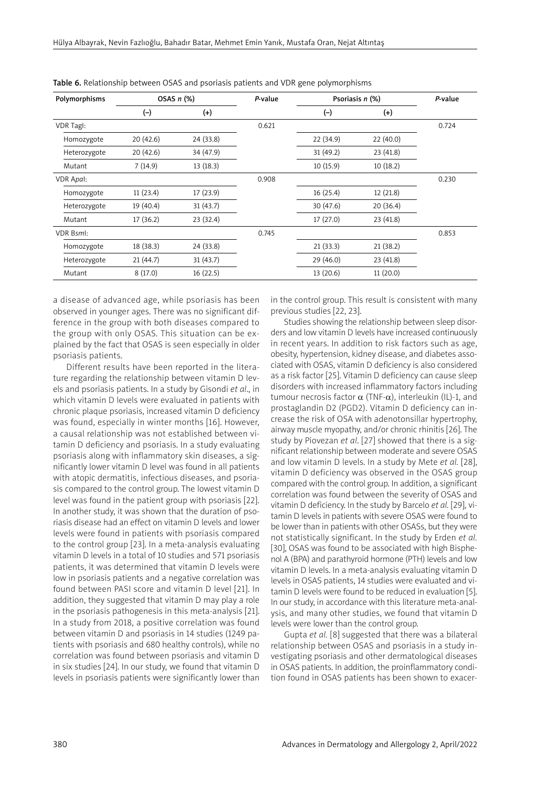| Polymorphisms    | OSAS $n$ $(\%)$ |           | P-value | Psoriasis $n$ (%) |           | P-value |
|------------------|-----------------|-----------|---------|-------------------|-----------|---------|
|                  | $(-)$           | $^{(+)}$  |         | $(-)$             | $^{(+)}$  |         |
| VDR Tagl:        |                 |           | 0.621   |                   |           | 0.724   |
| Homozygote       | 20(42.6)        | 24 (33.8) |         | 22 (34.9)         | 22(40.0)  |         |
| Heterozygote     | 20(42.6)        | 34 (47.9) |         | 31 (49.2)         | 23 (41.8) |         |
| Mutant           | 7(14.9)         | 13(18.3)  |         | 10(15.9)          | 10(18.2)  |         |
| VDR Apal:        |                 |           | 0.908   |                   |           | 0.230   |
| Homozygote       | 11(23.4)        | 17(23.9)  |         | 16(25.4)          | 12(21.8)  |         |
| Heterozygote     | 19 (40.4)       | 31(43.7)  |         | 30(47.6)          | 20(36.4)  |         |
| Mutant           | 17 (36.2)       | 23(32.4)  |         | 17(27.0)          | 23(41.8)  |         |
| <b>VDR Bsml:</b> |                 |           | 0.745   |                   |           | 0.853   |
| Homozygote       | 18 (38.3)       | 24 (33.8) |         | 21(33.3)          | 21(38.2)  |         |
| Heterozygote     | 21(44.7)        | 31(43.7)  |         | 29(46.0)          | 23(41.8)  |         |
| Mutant           | 8(17.0)         | 16(22.5)  |         | 13 (20.6)         | 11(20.0)  |         |

Table 6. Relationship between OSAS and psoriasis patients and VDR gene polymorphisms

a disease of advanced age, while psoriasis has been observed in younger ages. There was no significant difference in the group with both diseases compared to the group with only OSAS. This situation can be explained by the fact that OSAS is seen especially in older psoriasis patients.

Different results have been reported in the literature regarding the relationship between vitamin D levels and psoriasis patients. In a study by Gisondi *et al*., in which vitamin D levels were evaluated in patients with chronic plaque psoriasis, increased vitamin D deficiency was found, especially in winter months [16]. However, a causal relationship was not established between vitamin D deficiency and psoriasis. In a study evaluating psoriasis along with inflammatory skin diseases, a significantly lower vitamin D level was found in all patients with atopic dermatitis, infectious diseases, and psoriasis compared to the control group. The lowest vitamin D level was found in the patient group with psoriasis [22]. In another study, it was shown that the duration of psoriasis disease had an effect on vitamin D levels and lower levels were found in patients with psoriasis compared to the control group [23]. In a meta-analysis evaluating vitamin D levels in a total of 10 studies and 571 psoriasis patients, it was determined that vitamin D levels were low in psoriasis patients and a negative correlation was found between PASI score and vitamin D level [21]. In addition, they suggested that vitamin D may play a role in the psoriasis pathogenesis in this meta-analysis [21]. In a study from 2018, a positive correlation was found between vitamin D and psoriasis in 14 studies (1249 patients with psoriasis and 680 healthy controls), while no correlation was found between psoriasis and vitamin D in six studies [24]. In our study, we found that vitamin D levels in psoriasis patients were significantly lower than

in the control group. This result is consistent with many previous studies [22, 23].

Studies showing the relationship between sleep disorders and low vitamin D levels have increased continuously in recent years. In addition to risk factors such as age, obesity, hypertension, kidney disease, and diabetes associated with OSAS, vitamin D deficiency is also considered as a risk factor [25]. Vitamin D deficiency can cause sleep disorders with increased inflammatory factors including tumour necrosis factor  $\alpha$  (TNF- $\alpha$ ), interleukin (IL)-1, and prostaglandin D2 (PGD2). Vitamin D deficiency can increase the risk of OSA with adenotonsillar hypertrophy, airway muscle myopathy, and/or chronic rhinitis [26]. The study by Piovezan *et al*. [27] showed that there is a significant relationship between moderate and severe OSAS and low vitamin D levels. In a study by Mete *et al.* [28], vitamin D deficiency was observed in the OSAS group compared with the control group. In addition, a significant correlation was found between the severity of OSAS and vitamin D deficiency. In the study by Barcelo *et al.* [29], vitamin D levels in patients with severe OSAS were found to be lower than in patients with other OSASs, but they were not statistically significant. In the study by Erden *et al.* [30], OSAS was found to be associated with high Bisphenol A (BPA) and parathyroid hormone (PTH) levels and low vitamin D levels. In a meta-analysis evaluating vitamin D levels in OSAS patients, 14 studies were evaluated and vitamin D levels were found to be reduced in evaluation [5]. In our study, in accordance with this literature meta-analysis, and many other studies, we found that vitamin D levels were lower than the control group.

Gupta *et al.* [8] suggested that there was a bilateral relationship between OSAS and psoriasis in a study investigating psoriasis and other dermatological diseases in OSAS patients. In addition, the proinflammatory condition found in OSAS patients has been shown to exacer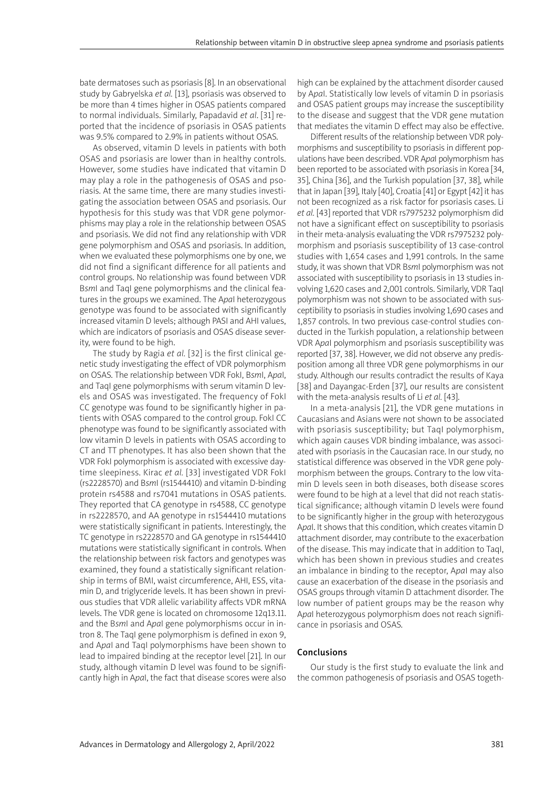bate dermatoses such as psoriasis [8]. In an observational study by Gabryelska *et al.* [13], psoriasis was observed to be more than 4 times higher in OSAS patients compared to normal individuals. Similarly, Papadavid *et al*. [31] reported that the incidence of psoriasis in OSAS patients was 9.5% compared to 2.9% in patients without OSAS.

As observed, vitamin D levels in patients with both OSAS and psoriasis are lower than in healthy controls. However, some studies have indicated that vitamin D may play a role in the pathogenesis of OSAS and psoriasis. At the same time, there are many studies investigating the association between OSAS and psoriasis. Our hypothesis for this study was that VDR gene polymorphisms may play a role in the relationship between OSAS and psoriasis. We did not find any relationship with VDR gene polymorphism and OSAS and psoriasis. In addition, when we evaluated these polymorphisms one by one, we did not find a significant difference for all patients and control groups. No relationship was found between VDR B*sm*I and TaqI gene polymorphisms and the clinical features in the groups we examined. The A*pa*I heterozygous genotype was found to be associated with significantly increased vitamin D levels; although PASI and AHI values, which are indicators of psoriasis and OSAS disease severity, were found to be high.

The study by Ragia *et al.* [32] is the first clinical genetic study investigating the effect of VDR polymorphism on OSAS. The relationship between VDR FokI, B*sm*I, A*pa*I, and TaqI gene polymorphisms with serum vitamin D levels and OSAS was investigated. The frequency of FokI CC genotype was found to be significantly higher in patients with OSAS compared to the control group. FokI CC phenotype was found to be significantly associated with low vitamin D levels in patients with OSAS according to CT and TT phenotypes. It has also been shown that the VDR FokI polymorphism is associated with excessive daytime sleepiness. Kirac *et al.* [33] investigated VDR FokI (rs2228570) and B*sm*I (rs1544410) and vitamin D-binding protein rs4588 and rs7041 mutations in OSAS patients. They reported that CA genotype in rs4588, CC genotype in rs2228570, and AA genotype in rs1544410 mutations were statistically significant in patients. Interestingly, the TC genotype in rs2228570 and GA genotype in rs1544410 mutations were statistically significant in controls. When the relationship between risk factors and genotypes was examined, they found a statistically significant relationship in terms of BMI, waist circumference, AHI, ESS, vitamin D, and triglyceride levels. It has been shown in previous studies that VDR allelic variability affects VDR mRNA levels. The VDR gene is located on chromosome 12q13.11. and the B*sm*I and A*pa*I gene polymorphisms occur in intron 8. The TaqI gene polymorphism is defined in exon 9, and A*pa*I and TaqI polymorphisms have been shown to lead to impaired binding at the receptor level [21]. In our study, although vitamin D level was found to be significantly high in A*pa*I, the fact that disease scores were also high can be explained by the attachment disorder caused by A*pa*I. Statistically low levels of vitamin D in psoriasis and OSAS patient groups may increase the susceptibility to the disease and suggest that the VDR gene mutation that mediates the vitamin D effect may also be effective.

Different results of the relationship between VDR polymorphisms and susceptibility to psoriasis in different populations have been described. VDR A*pa*I polymorphism has been reported to be associated with psoriasis in Korea [34, 35], China [36], and the Turkish population [37, 38], while that in Japan [39], Italy [40], Croatia [41] or Egypt [42] it has not been recognized as a risk factor for psoriasis cases. Li *et al.* [43] reported that VDR rs7975232 polymorphism did not have a significant effect on susceptibility to psoriasis in their meta-analysis evaluating the VDR rs7975232 polymorphism and psoriasis susceptibility of 13 case-control studies with 1,654 cases and 1,991 controls. In the same study, it was shown that VDR B*sm*I polymorphism was not associated with susceptibility to psoriasis in 13 studies involving 1,620 cases and 2,001 controls. Similarly, VDR TaqI polymorphism was not shown to be associated with susceptibility to psoriasis in studies involving 1,690 cases and 1,857 controls. In two previous case-control studies conducted in the Turkish population, a relationship between VDR A*pa*I polymorphism and psoriasis susceptibility was reported [37, 38]. However, we did not observe any predisposition among all three VDR gene polymorphisms in our study. Although our results contradict the results of Kaya [38] and Dayangac-Erden [37], our results are consistent with the meta-analysis results of Li *et al.* [43].

In a meta-analysis [21], the VDR gene mutations in Caucasians and Asians were not shown to be associated with psoriasis susceptibility; but TaqI polymorphism, which again causes VDR binding imbalance, was associated with psoriasis in the Caucasian race. In our study, no statistical difference was observed in the VDR gene polymorphism between the groups. Contrary to the low vitamin D levels seen in both diseases, both disease scores were found to be high at a level that did not reach statistical significance; although vitamin D levels were found to be significantly higher in the group with heterozygous A*pa*I. It shows that this condition, which creates vitamin D attachment disorder, may contribute to the exacerbation of the disease. This may indicate that in addition to TaqI, which has been shown in previous studies and creates an imbalance in binding to the receptor, A*pa*I may also cause an exacerbation of the disease in the psoriasis and OSAS groups through vitamin D attachment disorder. The low number of patient groups may be the reason why A*pa*I heterozygous polymorphism does not reach significance in psoriasis and OSAS.

#### Conclusions

Our study is the first study to evaluate the link and the common pathogenesis of psoriasis and OSAS togeth-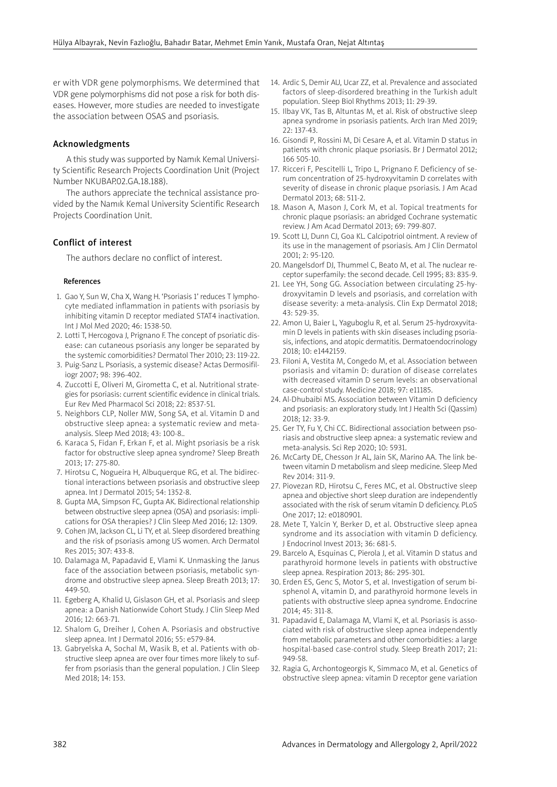er with VDR gene polymorphisms. We determined that VDR gene polymorphisms did not pose a risk for both diseases. However, more studies are needed to investigate the association between OSAS and psoriasis.

## Acknowledgments

A this study was supported by Namık Kemal University Scientific Research Projects Coordination Unit (Project Number NKUBAP.02.GA.18.188).

The authors appreciate the technical assistance provided by the Namık Kemal University Scientific Research Projects Coordination Unit.

# Conflict of interest

The authors declare no conflict of interest.

#### References

- 1. Gao Y, Sun W, Cha X, Wang H. 'Psoriasis 1' reduces T lymphocyte mediated inflammation in patients with psoriasis by inhibiting vitamin D receptor mediated STAT4 inactivation. Int J Mol Med 2020; 46: 1538-50.
- 2. Lotti T, Hercogova J, Prignano F. The concept of psoriatic disease: can cutaneous psoriasis any longer be separated by the systemic comorbidities? Dermatol Ther 2010; 23: 119-22.
- 3. Puig-Sanz L. Psoriasis, a systemic disease? Actas Dermosifiliogr 2007; 98: 396-402.
- 4. Zuccotti E, Oliveri M, Girometta C, et al. Nutritional strategies for psoriasis: current scientific evidence in clinical trials. Eur Rev Med Pharmacol Sci 2018; 22: 8537-51.
- 5. Neighbors CLP, Noller MW, Song SA, et al. Vitamin D and obstructive sleep apnea: a systematic review and metaanalysis. Sleep Med 2018; 43: 100-8..
- 6. Karaca S, Fidan F, Erkan F, et al. Might psoriasis be a risk factor for obstructive sleep apnea syndrome? Sleep Breath 2013; 17: 275-80.
- 7. Hirotsu C, Nogueira H, Albuquerque RG, et al. The bidirectional interactions between psoriasis and obstructive sleep apnea. Int J Dermatol 2015; 54: 1352-8.
- 8. Gupta MA, Simpson FC, Gupta AK. Bidirectional relationship between obstructive sleep apnea (OSA) and psoriasis: implications for OSA therapies? J Clin Sleep Med 2016; 12: 1309.
- 9. Cohen JM, Jackson CL, Li TY, et al. Sleep disordered breathing and the risk of psoriasis among US women. Arch Dermatol Res 2015; 307: 433-8.
- 10. Dalamaga M, Papadavid E, Vlami K. Unmasking the Janus face of the association between psoriasis, metabolic syndrome and obstructive sleep apnea. Sleep Breath 2013; 17: 449-50.
- 11. Egeberg A, Khalid U, Gislason GH, et al. Psoriasis and sleep apnea: a Danish Nationwide Cohort Study. J Clin Sleep Med 2016; 12: 663-71.
- 12. Shalom G, Dreiher J, Cohen A. Psoriasis and obstructive sleep apnea. Int J Dermatol 2016; 55: e579-84.
- 13. Gabryelska A, Sochal M, Wasik B, et al. Patients with obstructive sleep apnea are over four times more likely to suffer from psoriasis than the general population. J Clin Sleep Med 2018; 14: 153.
- 14. Ardic S, Demir AU, Ucar ZZ, et al. Prevalence and associated factors of sleep-disordered breathing in the Turkish adult population. Sleep Biol Rhythms 2013; 11: 29-39.
- 15. Ilbay VK, Tas B, Altuntas M, et al. Risk of obstructive sleep apnea syndrome in psoriasis patients. Arch Iran Med 2019; 22: 137-43.
- 16. Gisondi P, Rossini M, Di Cesare A, et al. Vitamin D status in patients with chronic plaque psoriasis. Br J Dermatol 2012; 166 505-10.
- 17. Ricceri F, Pescitelli L, Tripo L, Prignano F. Deficiency of serum concentration of 25-hydroxyvitamin D correlates with severity of disease in chronic plaque psoriasis. J Am Acad Dermatol 2013; 68: 511-2.
- 18. Mason A, Mason J, Cork M, et al. Topical treatments for chronic plaque psoriasis: an abridged Cochrane systematic review. J Am Acad Dermatol 2013; 69: 799-807.
- 19. Scott LJ, Dunn CJ, Goa KL. Calcipotriol ointment. A review of its use in the management of psoriasis. Am J Clin Dermatol  $2001 \cdot 2 \cdot 95 - 120$
- 20. Mangelsdorf DJ, Thummel C, Beato M, et al. The nuclear receptor superfamily: the second decade. Cell 1995; 83: 835-9.
- 21. Lee YH, Song GG. Association between circulating 25-hydroxyvitamin D levels and psoriasis, and correlation with disease severity: a meta-analysis. Clin Exp Dermatol 2018; 43: 529-35.
- 22. Amon U, Baier L, Yaguboglu R, et al. Serum 25-hydroxyvitamin D levels in patients with skin diseases including psoriasis, infections, and atopic dermatitis. Dermatoendocrinology 2018; 10: e1442159.
- 23. Filoni A, Vestita M, Congedo M, et al. Association between psoriasis and vitamin D: duration of disease correlates with decreased vitamin D serum levels: an observational case-control study. Medicine 2018; 97: e11185.
- 24. Al-Dhubaibi MS. Association between Vitamin D deficiency and psoriasis: an exploratory study. Int J Health Sci (Qassim) 2018; 12: 33-9.
- 25. Ger TY, Fu Y, Chi CC. Bidirectional association between psoriasis and obstructive sleep apnea: a systematic review and meta-analysis. Sci Rep 2020; 10: 5931.
- 26. McCarty DE, Chesson Jr AL, Jain SK, Marino AA. The link between vitamin D metabolism and sleep medicine. Sleep Med Rev 2014: 311-9.
- 27. Piovezan RD, Hirotsu C, Feres MC, et al. Obstructive sleep apnea and objective short sleep duration are independently associated with the risk of serum vitamin D deficiency. PLoS One 2017; 12: e0180901.
- 28. Mete T, Yalcin Y, Berker D, et al. Obstructive sleep apnea syndrome and its association with vitamin D deficiency. J Endocrinol Invest 2013; 36: 681-5.
- 29. Barcelo A, Esquinas C, Pierola J, et al. Vitamin D status and parathyroid hormone levels in patients with obstructive sleep apnea. Respiration 2013; 86: 295-301.
- 30. Erden ES, Genc S, Motor S, et al. Investigation of serum bisphenol A, vitamin D, and parathyroid hormone levels in patients with obstructive sleep apnea syndrome. Endocrine 2014; 45: 311-8.
- 31. Papadavid E, Dalamaga M, Vlami K, et al. Psoriasis is associated with risk of obstructive sleep apnea independently from metabolic parameters and other comorbidities: a large hospital-based case-control study. Sleep Breath 2017; 21: 949-58.
- 32. Ragia G, Archontogeorgis K, Simmaco M, et al. Genetics of obstructive sleep apnea: vitamin D receptor gene variation